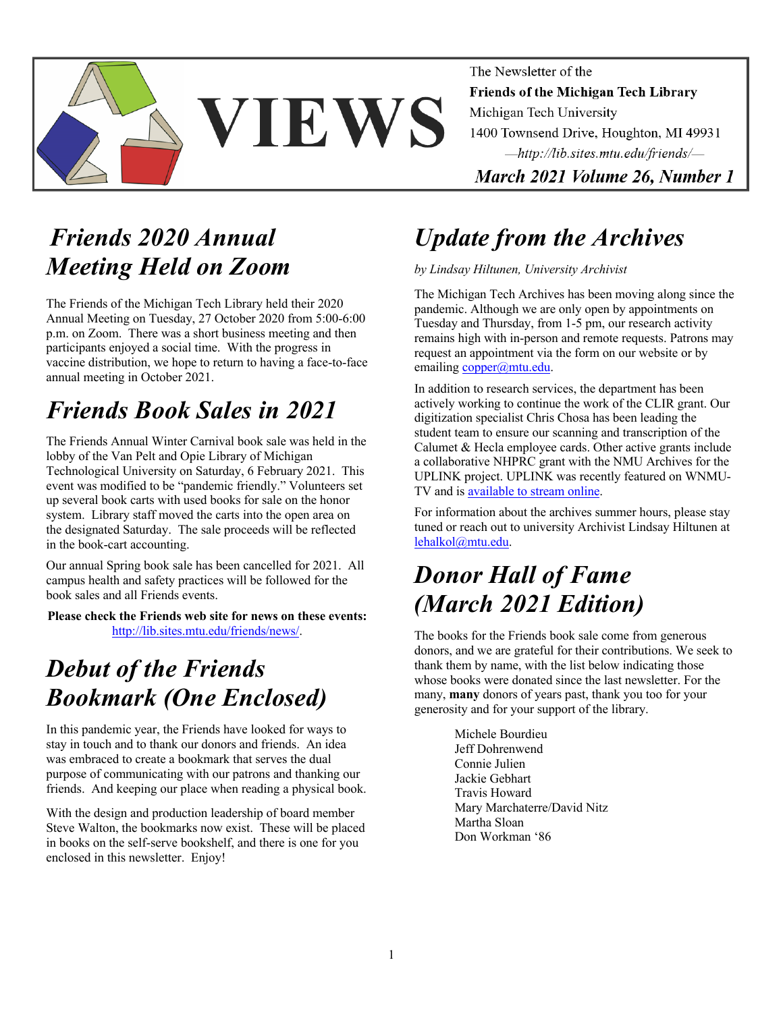

The Newsletter of the Friends of the Michigan Tech Library Michigan Tech University 1400 Townsend Drive, Houghton, MI 49931 -http://lib.sites.mtu.edu/friends/-March 2021 Volume 26, Number 1

*Friends 2020 Annual Meeting Held on Zoom*

The Friends of the Michigan Tech Library held their 2020 Annual Meeting on Tuesday, 27 October 2020 from 5:00-6:00 p.m. on Zoom. There was a short business meeting and then participants enjoyed a social time. With the progress in vaccine distribution, we hope to return to having a face-to-face annual meeting in October 2021.

## *Friends Book Sales in 2021*

The Friends Annual Winter Carnival book sale was held in the lobby of the Van Pelt and Opie Library of Michigan Technological University on Saturday, 6 February 2021. This event was modified to be "pandemic friendly." Volunteers set up several book carts with used books for sale on the honor system. Library staff moved the carts into the open area on the designated Saturday. The sale proceeds will be reflected in the book-cart accounting.

Our annual Spring book sale has been cancelled for 2021. All campus health and safety practices will be followed for the book sales and all Friends events.

**Please check the Friends web site for news on these events:** http://lib.sites.mtu.edu/friends/news/.

# *Debut of the Friends Bookmark (One Enclosed)*

In this pandemic year, the Friends have looked for ways to stay in touch and to thank our donors and friends. An idea was embraced to create a bookmark that serves the dual purpose of communicating with our patrons and thanking our friends. And keeping our place when reading a physical book.

With the design and production leadership of board member Steve Walton, the bookmarks now exist. These will be placed in books on the self-serve bookshelf, and there is one for you enclosed in this newsletter. Enjoy!

## *Update from the Archives*

#### *by Lindsay Hiltunen, University Archivist*

The Michigan Tech Archives has been moving along since the pandemic. Although we are only open by appointments on Tuesday and Thursday, from 1-5 pm, our research activity remains high with in-person and remote requests. Patrons may request an appointment via the form on our website or by emailing copper@mtu.edu.

In addition to research services, the department has been actively working to continue the work of the CLIR grant. Our digitization specialist Chris Chosa has been leading the student team to ensure our scanning and transcription of the Calumet & Hecla employee cards. Other active grants include a collaborative NHPRC grant with the NMU Archives for the UPLINK project. UPLINK was recently featured on WNMU-TV and is available to stream online.

For information about the archives summer hours, please stay tuned or reach out to university Archivist Lindsay Hiltunen at lehalkol@mtu.edu.

## *Donor Hall of Fame (March 2021 Edition)*

The books for the Friends book sale come from generous donors, and we are grateful for their contributions. We seek to thank them by name, with the list below indicating those whose books were donated since the last newsletter. For the many, **many** donors of years past, thank you too for your generosity and for your support of the library.

> Michele Bourdieu Jeff Dohrenwend Connie Julien Jackie Gebhart Travis Howard Mary Marchaterre/David Nitz Martha Sloan Don Workman '86